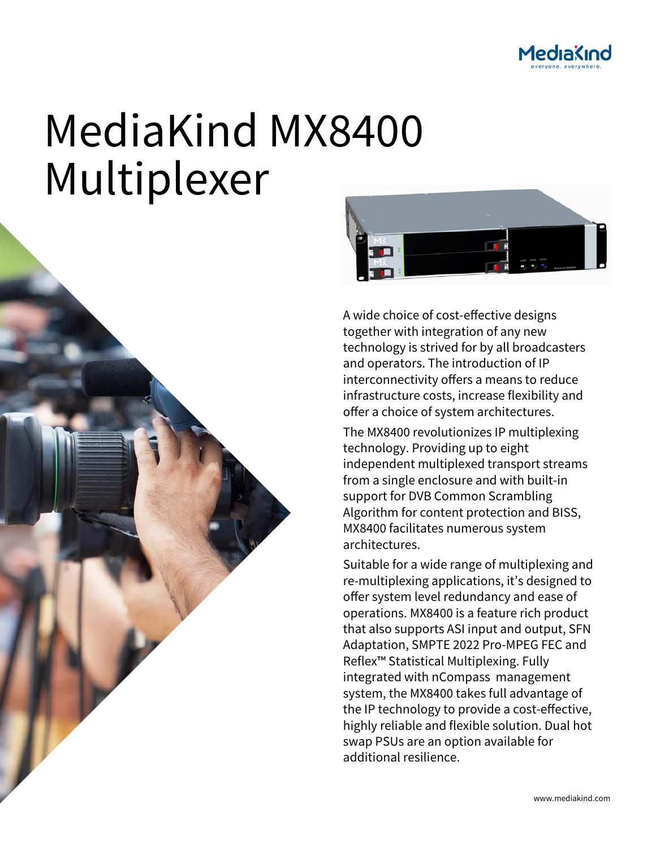

# MediaKind MX8400 Multiplexer





A wide choice of cost-effective designs together with integration of any new technology is strived for by all broadcasters and operators. The introduction of IP interconnectivity offers a means to reduce infrastructure costs, increase flexibility and offer a choice of system architectures.

The MX8400 revolutionizes IP multiplexing technology. Providing up to eight independent multiplexed transport streams from a single enclosure and with built-in support for DVB Common Scrambling Algorithm for content protection and BISS, MX8400 facilitates numerous system architectures.

Suitable for a wide range of multiplexing and re-multiplexing applications, it's designed to offer system level redundancy and ease of operations. MX8400 is a feature rich product that also supports ASI input and output, SFN Adaptation, SMPTE 2022 Pro-MPEG FEC and Reflex™ Statistical Multiplexing. Fully integrated with nCompass management system, the MX8400 takes full advantage of the IP technology to provide a cost-effective, highly reliable and flexible solution. Dual hot swap PSUs are an option available for additional resilience.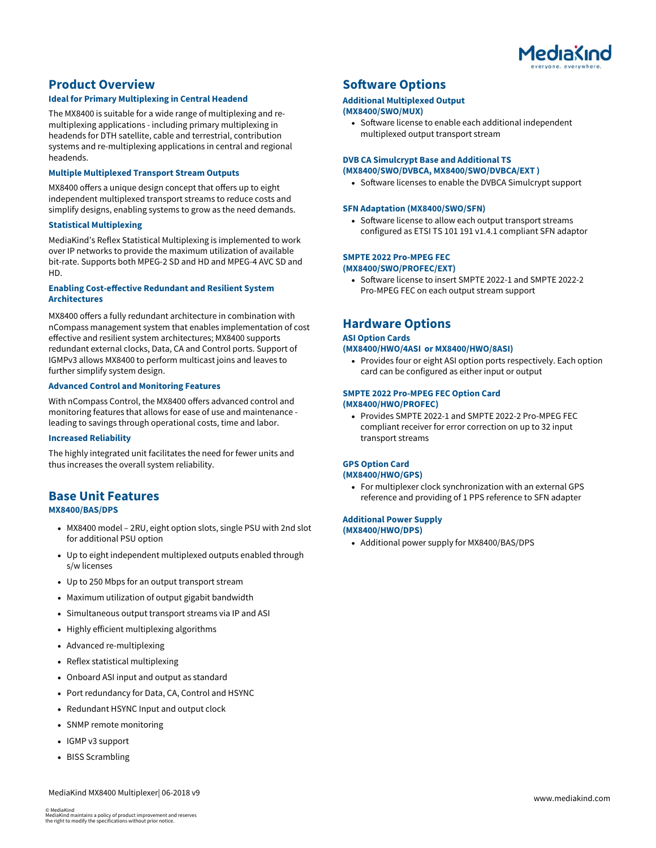

# **Product Overview**

## **Ideal for Primary Multiplexing in Central Headend**

The MX8400 is suitable for a wide range of multiplexing and remultiplexing applications - including primary multiplexing in headends for DTH satellite, cable and terrestrial, contribution systems and re-multiplexing applications in central and regional headends.

## **Multiple Multiplexed Transport Stream Outputs**

MX8400 offers a unique design concept that offers up to eight independent multiplexed transport streams to reduce costs and simplify designs, enabling systems to grow as the need demands.

#### **Statistical Multiplexing**

MediaKind's Reflex Statistical Multiplexing is implemented to work over IP networks to provide the maximum utilization of available bit-rate. Supports both MPEG-2 SD and HD and MPEG-4 AVC SD and HD.

## **Enabling Cost-effective Redundant and Resilient System Architectures**

MX8400 offers a fully redundant architecture in combination with nCompass management system that enables implementation of cost effective and resilient system architectures; MX8400 supports redundant external clocks, Data, CA and Control ports. Support of IGMPv3 allows MX8400 to perform multicast joins and leaves to further simplify system design.

## **Advanced Control and Monitoring Features**

With nCompass Control, the MX8400 offers advanced control and monitoring features that allows for ease of use and maintenance leading to savings through operational costs, time and labor.

## **Increased Reliability**

The highly integrated unit facilitates the need for fewer units and thus increases the overall system reliability.

# **Base Unit Features**

# **MX8400/BAS/DPS**

- MX8400 model 2RU, eight option slots, single PSU with 2nd slot for additional PSU option
- Up to eight independent multiplexed outputs enabled through s/w licenses
- Up to 250 Mbps for an output transport stream
- Maximum utilization of output gigabit bandwidth
- Simultaneous output transport streams via IP and ASI
- Highly efficient multiplexing algorithms
- Advanced re-multiplexing
- Reflex statistical multiplexing
- Onboard ASI input and output as standard
- Port redundancy for Data, CA, Control and HSYNC
- Redundant HSYNC Input and output clock
- SNMP remote monitoring
- IGMP v3 support
- BISS Scrambling

# **Software Options**

#### **Additional Multiplexed Output (MX8400/SWO/MUX)**

 Software license to enable each additional independent multiplexed output transport stream

## **DVB CA Simulcrypt Base and Additional TS (MX8400/SWO/DVBCA, MX8400/SWO/DVBCA/EXT )**

• Software licenses to enable the DVBCA Simulcrypt support

## **SFN Adaptation (MX8400/SWO/SFN)**

• Software license to allow each output transport streams configured as ETSI TS 101 191 v1.4.1 compliant SFN adaptor

# **SMPTE 2022 Pro-MPEG FEC**

- **(MX8400/SWO/PROFEC/EXT)** 
	- Software license to insert SMPTE 2022-1 and SMPTE 2022-2 Pro-MPEG FEC on each output stream support

# **Hardware Options**

## **ASI Option Cards**

#### **(MX8400/HWO/4ASI or MX8400/HWO/8ASI)**

• Provides four or eight ASI option ports respectively. Each option card can be configured as either input or output

## **SMPTE 2022 Pro-MPEG FEC Option Card (MX8400/HWO/PROFEC)**

• Provides SMPTE 2022-1 and SMPTE 2022-2 Pro-MPEG FEC compliant receiver for error correction on up to 32 input transport streams

## **GPS Option Card (MX8400/HWO/GPS)**

 For multiplexer clock synchronization with an external GPS reference and providing of 1 PPS reference to SFN adapter

#### **Additional Power Supply (MX8400/HWO/DPS)**

• Additional power supply for MX8400/BAS/DPS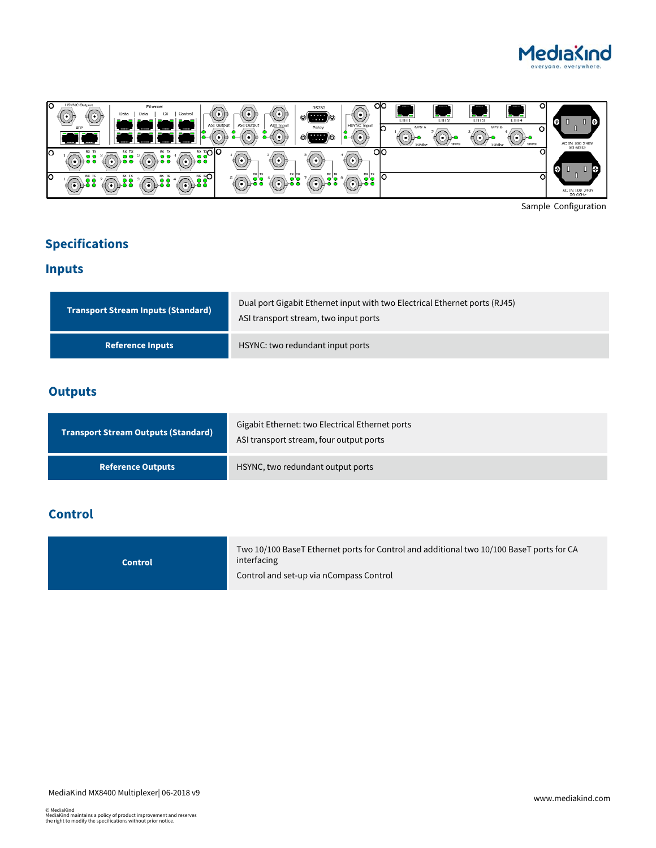



Sample Configuration

# **Specifications**

# **Inputs**

| <b>Transport Stream Inputs (Standard)</b> | Dual port Gigabit Ethernet input with two Electrical Ethernet ports (RJ45)<br>ASI transport stream, two input ports |
|-------------------------------------------|---------------------------------------------------------------------------------------------------------------------|
| <b>Reference Inputs</b>                   | HSYNC: two redundant input ports                                                                                    |

# **Outputs**

| <b>Transport Stream Outputs (Standard)</b> | Gigabit Ethernet: two Electrical Ethernet ports<br>ASI transport stream, four output ports |
|--------------------------------------------|--------------------------------------------------------------------------------------------|
| <b>Reference Outputs</b>                   | HSYNC, two redundant output ports                                                          |

# **Control**